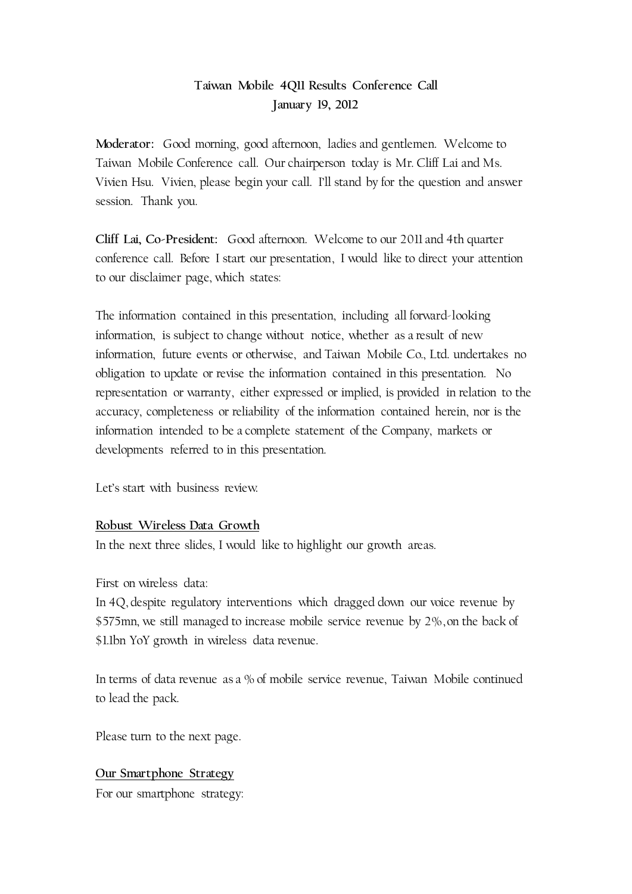# **Taiwan Mobile 4Q11 Results Conference Call January 19, 2012**

**Moderator:** Good morning, good afternoon, ladies and gentlemen. Welcome to Taiwan Mobile Conference call. Our chairperson today is Mr. Cliff Lai and Ms. Vivien Hsu. Vivien, please begin your call. I'll stand by for the question and answer session. Thank you.

**Cliff Lai, Co-President:** Good afternoon. Welcome to our 2011 and 4th quarter conference call. Before I start our presentation, I would like to direct your attention to our disclaimer page, which states:

The information contained in this presentation, including all forward-looking information, is subject to change without notice, whether as a result of new information, future events or otherwise, and Taiwan Mobile Co., Ltd. undertakes no obligation to update or revise the information contained in this presentation. No representation or warranty, either expressed or implied, is provided in relation to the accuracy, completeness or reliability of the information contained herein, nor is the information intended to be a complete statement of the Company, markets or developments referred to in this presentation.

Let's start with business review.

# **Robust Wireless Data Growth**

In the next three slides, I would like to highlight our growth areas.

First on wireless data:

In 4Q, despite regulatory interventions which dragged down our voice revenue by \$575mn, we still managed to increase mobile service revenue by 2%, on the back of \$1.1bn YoY growth in wireless data revenue.

In terms of data revenue as a % of mobile service revenue, Taiwan Mobile continued to lead the pack.

Please turn to the next page.

#### **Our Smartphone Strategy**

For our smartphone strategy: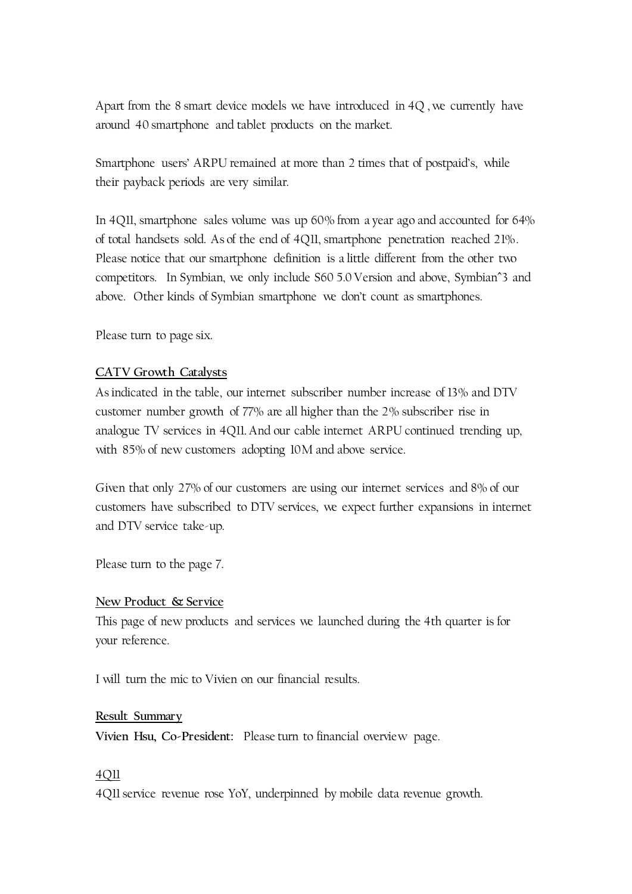Apart from the 8 smart device models we have introduced in 4Q , we currently have around 40 smartphone and tablet products on the market.

Smartphone users' ARPU remained at more than 2 times that of postpaid's, while their payback periods are very similar.

In 4Q11, smartphone sales volume was up 60% from a year ago and accounted for 64% of total handsets sold. As of the end of 4Q11, smartphone penetration reached 21%. Please notice that our smartphone definition is a little different from the other two competitors. In Symbian, we only include S60 5.0 Version and above, Symbian^3 and above. Other kinds of Symbian smartphone we don't count as smartphones.

Please turn to page six.

### **CATV Growth Catalysts**

As indicated in the table, our internet subscriber number increase of 13% and DTV customer number growth of 77% are all higher than the 2% subscriber rise in analogue TV services in 4Q11. And our cable internet ARPU continued trending up, with 85% of new customers adopting 10M and above service.

Given that only 27% of our customers are using our internet services and 8% of our customers have subscribed to DTV services, we expect further expansions in internet and DTV service take-up.

Please turn to the page 7.

#### **New Product & Service**

This page of new products and services we launched during the 4th quarter is for your reference.

I will turn the mic to Vivien on our financial results.

#### **Result Summary**

**Vivien Hsu, Co-President:** Please turn to financial overview page.

#### 4Q11

4Q11 service revenue rose YoY, underpinned by mobile data revenue growth.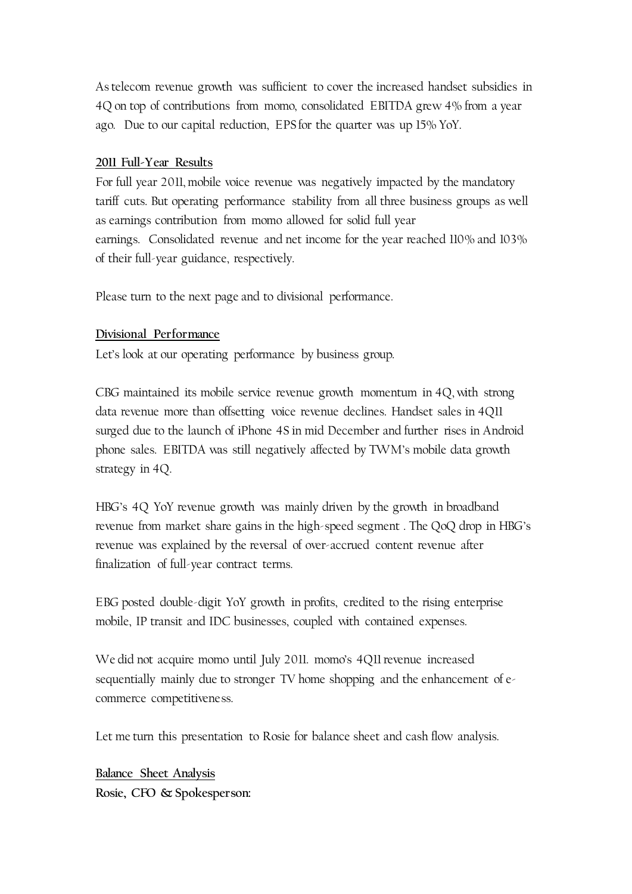As telecom revenue growth was sufficient to cover the increased handset subsidies in 4Q on top of contributions from momo, consolidated EBITDA grew 4% from a year ago. Due to our capital reduction, EPS for the quarter was up 15% YoY.

## **2011 Full-Year Results**

For full year 2011, mobile voice revenue was negatively impacted by the mandatory tariff cuts. But operating performance stability from all three business groups as well as earnings contribution from momo allowed for solid full year earnings. Consolidated revenue and net income for the year reached 110% and 103% of their full-year guidance, respectively.

Please turn to the next page and to divisional performance.

### **Divisional Performance**

Let's look at our operating performance by business group.

CBG maintained its mobile service revenue growth momentum in 4Q, with strong data revenue more than offsetting voice revenue declines. Handset sales in 4Q11 surged due to the launch of iPhone 4S in mid December and further rises in Android phone sales. EBITDA was still negatively affected by TWM's mobile data growth strategy in 4Q.

HBG's 4Q YoY revenue growth was mainly driven by the growth in broadband revenue from market share gains in the high-speed segment . The QoQ drop in HBG's revenue was explained by the reversal of over-accrued content revenue after finalization of full-year contract terms.

EBG posted double-digit YoY growth in profits, credited to the rising enterprise mobile, IP transit and IDC businesses, coupled with contained expenses.

We did not acquire momo until July 2011. momo's 4Q11 revenue increased sequentially mainly due to stronger TV home shopping and the enhancement of ecommerce competitiveness.

Let me turn this presentation to Rosie for balance sheet and cash flow analysis.

**Balance Sheet Analysis Rosie, CFO & Spokesperson:**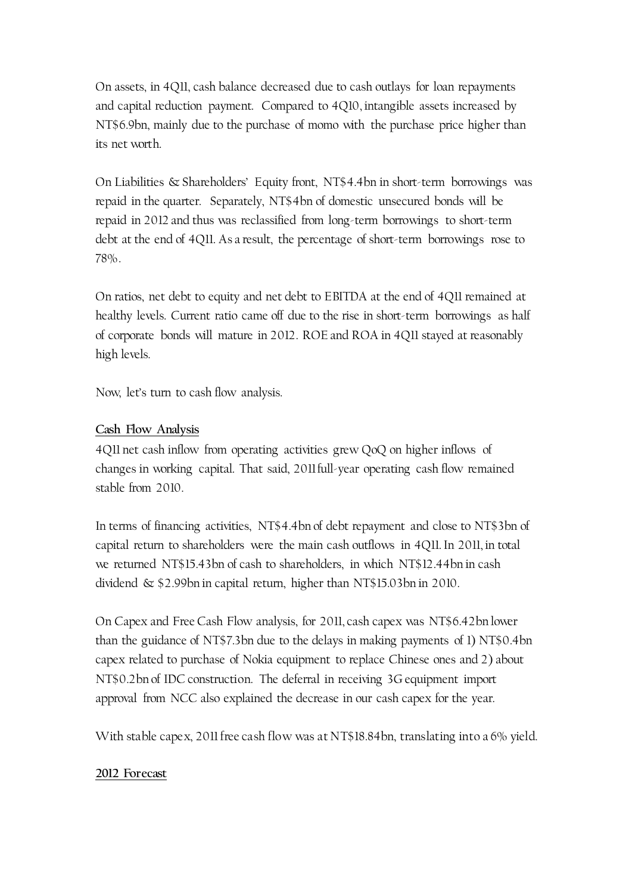On assets, in 4Q11, cash balance decreased due to cash outlays for loan repayments and capital reduction payment. Compared to 4Q10, intangible assets increased by NT\$6.9bn, mainly due to the purchase of momo with the purchase price higher than its net worth.

On Liabilities & Shareholders' Equity front, NT\$4.4bn in short-term borrowings was repaid in the quarter. Separately, NT\$4bn of domestic unsecured bonds will be repaid in 2012 and thus was reclassified from long-term borrowings to short-term debt at the end of 4Q11. As a result, the percentage of short-term borrowings rose to 78%.

On ratios, net debt to equity and net debt to EBITDA at the end of 4Q11 remained at healthy levels. Current ratio came off due to the rise in short-term borrowings as half of corporate bonds will mature in 2012. ROE and ROA in 4Q11 stayed at reasonably high levels.

Now, let's turn to cash flow analysis.

### **Cash Flow Analysis**

4Q11 net cash inflow from operating activities grew QoQ on higher inflows of changes in working capital. That said, 2011 full-year operating cash flow remained stable from 2010.

In terms of financing activities, NT\$4.4bn of debt repayment and close to NT\$3bn of capital return to shareholders were the main cash outflows in 4Q11. In 2011, in total we returned NT\$15.43bn of cash to shareholders, in which NT\$12.44bn in cash dividend & \$2.99bn in capital return, higher than NT\$15.03bn in 2010.

On Capex and Free Cash Flow analysis, for 2011, cash capex was NT\$6.42bn lower than the guidance of NT\$7.3bn due to the delays in making payments of 1) NT\$0.4bn capex related to purchase of Nokia equipment to replace Chinese ones and 2) about NT\$0.2bn of IDC construction. The deferral in receiving 3G equipment import approval from NCC also explained the decrease in our cash capex for the year.

With stable capex, 2011 free cash flow was at NT\$18.84bn, translating into a 6% yield.

#### **2012 Forecast**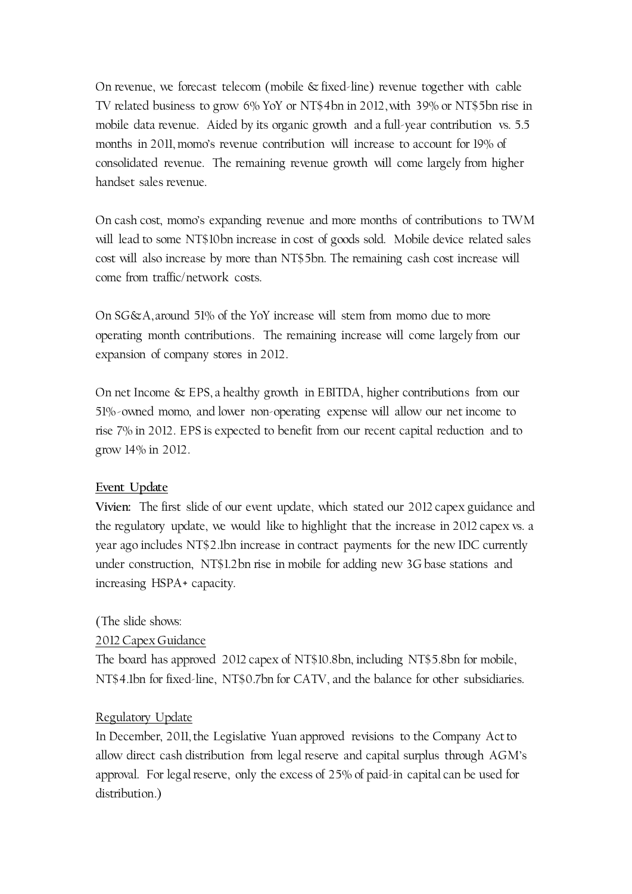On revenue, we forecast telecom (mobile & fixed-line) revenue together with cable TV related business to grow 6% YoY or NT\$4bn in 2012, with 39% or NT\$5bn rise in mobile data revenue. Aided by its organic growth and a full-year contribution vs. 5.5 months in 2011, momo's revenue contribution will increase to account for 19% of consolidated revenue. The remaining revenue growth will come largely from higher handset sales revenue.

On cash cost, momo's expanding revenue and more months of contributions to TWM will lead to some NT\$10bn increase in cost of goods sold. Mobile device related sales cost will also increase by more than NT\$5bn. The remaining cash cost increase will come from traffic/network costs.

On SG&A, around 51% of the YoY increase will stem from momo due to more operating month contributions. The remaining increase will come largely from our expansion of company stores in 2012.

On net Income & EPS, a healthy growth in EBITDA, higher contributions from our 51%-owned momo, and lower non-operating expense will allow our net income to rise 7% in 2012. EPS is expected to benefit from our recent capital reduction and to grow 14% in 2012.

# **Event Update**

**Vivien:** The first slide of our event update, which stated our 2012 capex guidance and the regulatory update, we would like to highlight that the increase in 2012 capex vs. a year ago includes NT\$2.1bn increase in contract payments for the new IDC currently under construction, NT\$1.2bn rise in mobile for adding new 3G base stations and increasing HSPA+ capacity.

#### (The slide shows:

#### 2012 Capex Guidance

The board has approved 2012 capex of NT\$10.8bn, including NT\$5.8bn for mobile, NT\$4.1bn for fixed-line, NT\$0.7bn for CATV, and the balance for other subsidiaries.

#### Regulatory Update

In December, 2011, the Legislative Yuan approved revisions to the Company Act to allow direct cash distribution from legal reserve and capital surplus through AGM's approval. For legal reserve, only the excess of 25% of paid-in capital can be used for distribution.)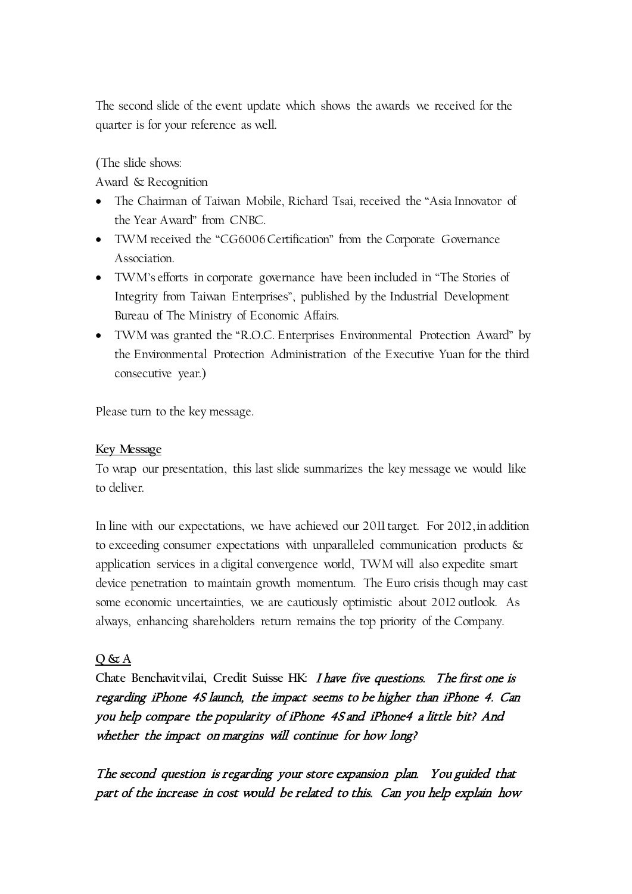The second slide of the event update which shows the awards we received for the quarter is for your reference as well.

(The slide shows:

Award & Recognition

- The Chairman of Taiwan Mobile, Richard Tsai, received the "Asia Innovator of the Year Award" from CNBC.
- TWM received the "CG6006 Certification" from the Corporate Governance Association.
- TWM's efforts in corporate governance have been included in "The Stories of Integrity from Taiwan Enterprises", published by the Industrial Development Bureau of The Ministry of Economic Affairs.
- TWM was granted the "R.O.C. Enterprises Environmental Protection Award" by the Environmental Protection Administration of the Executive Yuan for the third consecutive year.)

Please turn to the key message.

# **Key Message**

To wrap our presentation, this last slide summarizes the key message we would like to deliver.

In line with our expectations, we have achieved our 2011 target. For 2012, in addition to exceeding consumer expectations with unparalleled communication products & application services in a digital convergence world, TWM will also expedite smart device penetration to maintain growth momentum. The Euro crisis though may cast some economic uncertainties, we are cautiously optimistic about 2012 outlook. As always, enhancing shareholders return remains the top priority of the Company.

# **Q & A**

**Chate Benchavitvilai, Credit Suisse HK:** I have five questions. The first one is regarding iPhone 4S launch, the impact seems to be higher than iPhone 4. Can you help compare the popularity of iPhone 4S and iPhone4 a little bit? And whether the impact on margins will continue for how long?

The second question is regarding your store expansion plan. You guided that part of the increase in cost would be related to this. Can you help explain how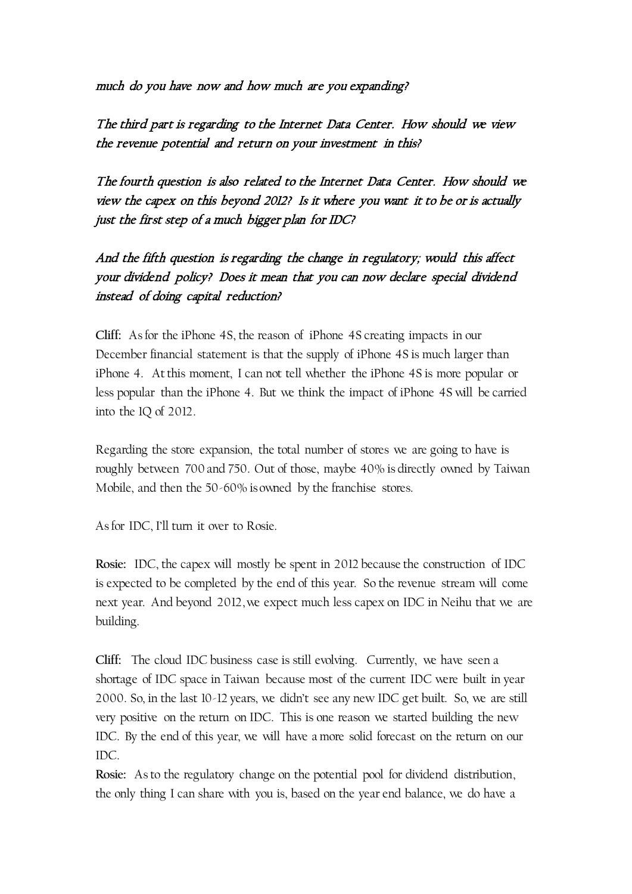much do you have now and how much are you expanding?

The third part is regarding to the Internet Data Center. How should we view the revenue potential and return on your investment in this?

The fourth question is also related to the Internet Data Center. How should we view the capex on this beyond 2012? Is it where you want it to be or is actually just the first step of a much bigger plan for IDC?

And the fifth question is regarding the change in regulatory; would this affect your dividend policy? Does it mean that you can now declare special dividend instead of doing capital reduction?

**Cliff:** As for the iPhone 4S, the reason of iPhone 4S creating impacts in our December financial statement is that the supply of iPhone 4S is much larger than iPhone 4. At this moment, I can not tell whether the iPhone 4S is more popular or less popular than the iPhone 4. But we think the impact of iPhone 4S will be carried into the 1Q of 2012.

Regarding the store expansion, the total number of stores we are going to have is roughly between 700 and 750. Out of those, maybe 40% is directly owned by Taiwan Mobile, and then the 50-60% is owned by the franchise stores.

As for IDC, I'll turn it over to Rosie.

**Rosie:** IDC, the capex will mostly be spent in 2012 because the construction of IDC is expected to be completed by the end of this year. So the revenue stream will come next year. And beyond 2012, we expect much less capex on IDC in Neihu that we are building.

**Cliff:** The cloud IDC business case is still evolving. Currently, we have seen a shortage of IDC space in Taiwan because most of the current IDC were built in year 2000. So, in the last 10-12 years, we didn't see any new IDC get built. So, we are still very positive on the return on IDC. This is one reason we started building the new IDC. By the end of this year, we will have a more solid forecast on the return on our IDC.

**Rosie:** As to the regulatory change on the potential pool for dividend distribution, the only thing I can share with you is, based on the year end balance, we do have a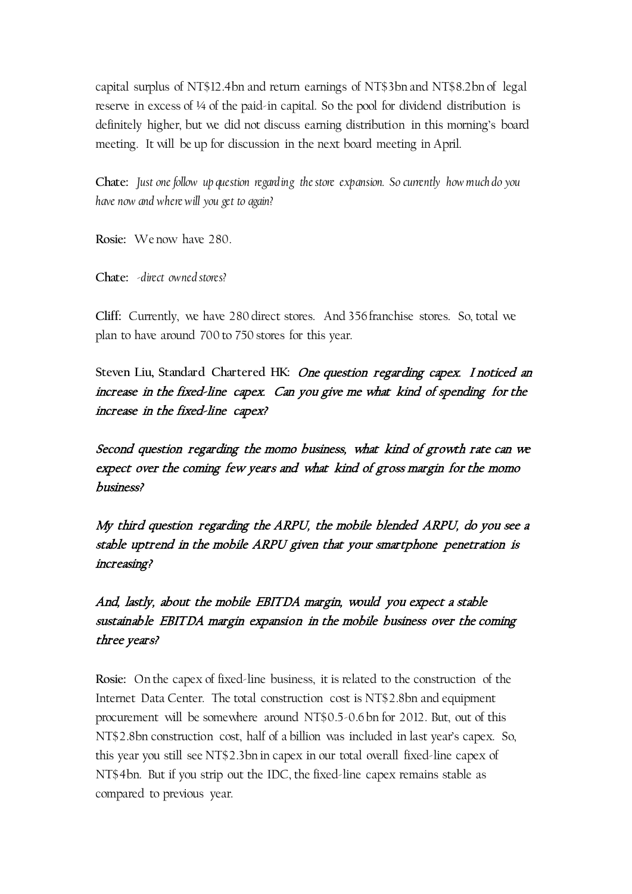capital surplus of NT\$12.4bn and return earnings of NT\$3bn and NT\$8.2bn of legal reserve in excess of ¼ of the paid-in capital. So the pool for dividend distribution is definitely higher, but we did not discuss earning distribution in this morning's board meeting. It will be up for discussion in the next board meeting in April.

**Chate:** *Just one follow up question regarding the store expansion. So currently how much do you have now and where will you get to again?*

**Rosie:** We now have 280.

**Chate:** *-direct owned stores?*

**Cliff:** Currently, we have 280 direct stores. And 356 franchise stores. So, total we plan to have around 700 to 750 stores for this year.

**Steven Liu, Standard Chartered HK:** One question regarding capex. I noticed an increase in the fixed-line capex. Can you give me what kind of spending for the increase in the fixed-line capex?

Second question regarding the momo business, what kind of growth rate can we expect over the coming few years and what kind of gross margin for the momo business?

My third question regarding the ARPU, the mobile blended ARPU, do you see a stable uptrend in the mobile ARPU given that your smartphone penetration is increasing?

And, lastly, about the mobile EBITDA margin, would you expect a stable sustainable EBITDA margin expansion in the mobile business over the coming three years?

**Rosie:** On the capex of fixed-line business, it is related to the construction of the Internet Data Center. The total construction cost is NT\$2.8bn and equipment procurement will be somewhere around NT\$0.5-0.6 bn for 2012. But, out of this NT\$2.8bn construction cost, half of a billion was included in last year's capex. So, this year you still see NT\$2.3bn in capex in our total overall fixed-line capex of NT\$4bn. But if you strip out the IDC, the fixed-line capex remains stable as compared to previous year.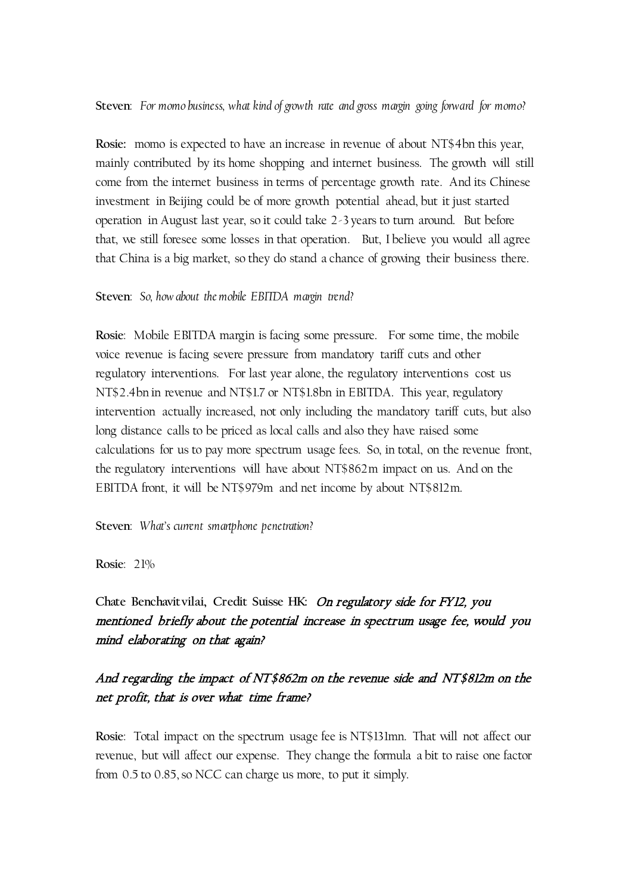#### **Steven**: *For momo business, what kind of growth rate and gross margin going forward for momo?*

**Rosie:** momo is expected to have an increase in revenue of about NT\$4bn this year, mainly contributed by its home shopping and internet business. The growth will still come from the internet business in terms of percentage growth rate. And its Chinese investment in Beijing could be of more growth potential ahead, but it just started operation in August last year, so it could take 2-3 years to turn around. But before that, we still foresee some losses in that operation. But, I believe you would all agree that China is a big market, so they do stand a chance of growing their business there.

#### **Steven**: *So, how about the mobile EBITDA margin trend?*

**Rosie**: Mobile EBITDA margin is facing some pressure. For some time, the mobile voice revenue is facing severe pressure from mandatory tariff cuts and other regulatory interventions. For last year alone, the regulatory interventions cost us NT\$2.4bn in revenue and NT\$1.7 or NT\$1.8bn in EBITDA. This year, regulatory intervention actually increased, not only including the mandatory tariff cuts, but also long distance calls to be priced as local calls and also they have raised some calculations for us to pay more spectrum usage fees. So, in total, on the revenue front, the regulatory interventions will have about NT\$862m impact on us. And on the EBITDA front, it will be NT\$979m and net income by about NT\$812m.

**Steven**: *What's current smartphone penetration?*

**Rosie**: 21%

**Chate Benchavitvilai, Credit Suisse HK:** On regulatory side for FY12, you mentioned briefly about the potential increase in spectrum usage fee, would you mind elaborating on that again?

# And regarding the impact of NT\$862m on the revenue side and NT\$812m on the net profit, that is over what time frame?

**Rosie**: Total impact on the spectrum usage fee is NT\$131mn. That will not affect our revenue, but will affect our expense. They change the formula a bit to raise one factor from 0.5 to 0.85, so NCC can charge us more, to put it simply.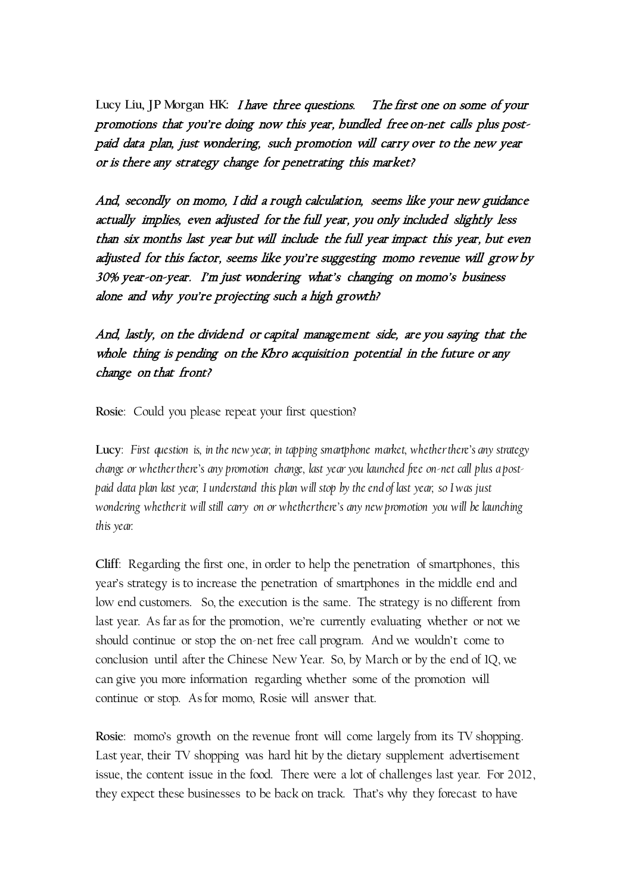**Lucy Liu, JP Morgan HK:** I have three questions. The first one on some of your promotions that you're doing now this year, bundled free on-net calls plus postpaid data plan, just wondering, such promotion will carry over to the new year or is there any strategy change for penetrating this market?

And, secondly on momo, I did a rough calculation, seems like your new guidance actually implies, even adjusted for the full year, you only included slightly less than six months last year but will include the full year impact this year, but even adjusted for this factor, seems like you're suggesting momo revenue will grow by 30% year-on-year. I'm just wondering what's changing on momo's business alone and why you're projecting such a high growth?

And, lastly, on the dividend or capital management side, are you saying that the whole thing is pending on the Kbro acquisition potential in the future or any change on that front?

**Rosie**: Could you please repeat your first question?

**Lucy**: *First question is, in the new year, in tapping smartphone market, whether there's any strategy change or whether there's any promotion change, last year you launched free on-net call plus a postpaid data plan last year, I understand this plan will stop by the end of last year, so I was just wondering whether it will still carry on or whether there's any new promotion you will be launching this year.*

**Cliff**: Regarding the first one, in order to help the penetration of smartphones, this year's strategy is to increase the penetration of smartphones in the middle end and low end customers. So, the execution is the same. The strategy is no different from last year. As far as for the promotion, we're currently evaluating whether or not we should continue or stop the on-net free call program. And we wouldn't come to conclusion until after the Chinese New Year. So, by March or by the end of 1Q, we can give you more information regarding whether some of the promotion will continue or stop. As for momo, Rosie will answer that.

**Rosie**: momo's growth on the revenue front will come largely from its TV shopping. Last year, their TV shopping was hard hit by the dietary supplement advertisement issue, the content issue in the food. There were a lot of challenges last year. For 2012, they expect these businesses to be back on track. That's why they forecast to have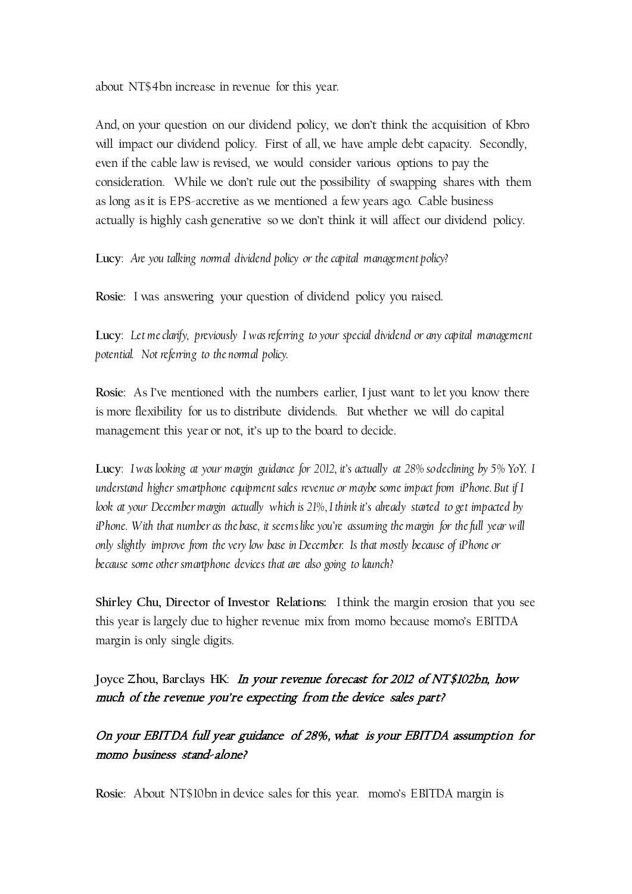about NT\$4bn increase in revenue for this year.

And, on your question on our dividend policy, we don't think the acquisition of Kbro will impact our dividend policy. First of all, we have ample debt capacity. Secondly, even if the cable law is revised, we would consider various options to pay the consideration. While we don't rule out the possibility of swapping shares with them as long as it is EPS-accretive as we mentioned a few years ago. Cable business actually is highly cash generative so we don't think it will affect our dividend policy.

**Lucy**: *Are you talking normal dividend policy or the capital management policy?*

**Rosie**: I was answering your question of dividend policy you raised.

**Lucy**: *Let me clarify, previously I was referring to your special dividend or any capital management potential. Not referring to the normal policy.*

**Rosie**: As I've mentioned with the numbers earlier, I just want to let you know there is more flexibility for us to distribute dividends. But whether we will do capital management this year or not, it's up to the board to decide.

**Lucy**: *I was looking at your margin guidance for 2012, it's actually at 28% so declining by 5% YoY. I understand higher smartphone equipment sales revenue or maybe some impact from iPhone. But if I look at your December margin actually which is 21%, I think it's already started to get impacted by iPhone.* With that number as the base, it seems like you're assuming the margin for the full year will *only slightly improve from the very low base in December. Is that mostly because of iPhone or because some other smartphone devices that are also going to launch?*

**Shirley Chu, Director of Investor Relations:** I think the margin erosion that you see this year is largely due to higher revenue mix from momo because momo's EBITDA margin is only single digits.

**Joyce Zhou, Barclays HK**: In your revenue forecast for 2012 of NT\$102bn, how much of the revenue you're expecting from the device sales part?

# On your EBITDA full year guidance of 28%, what is your EBITDA assumption for momo business stand-alone?

**Rosie**: About NT\$10bn in device sales for this year. momo's EBITDA margin is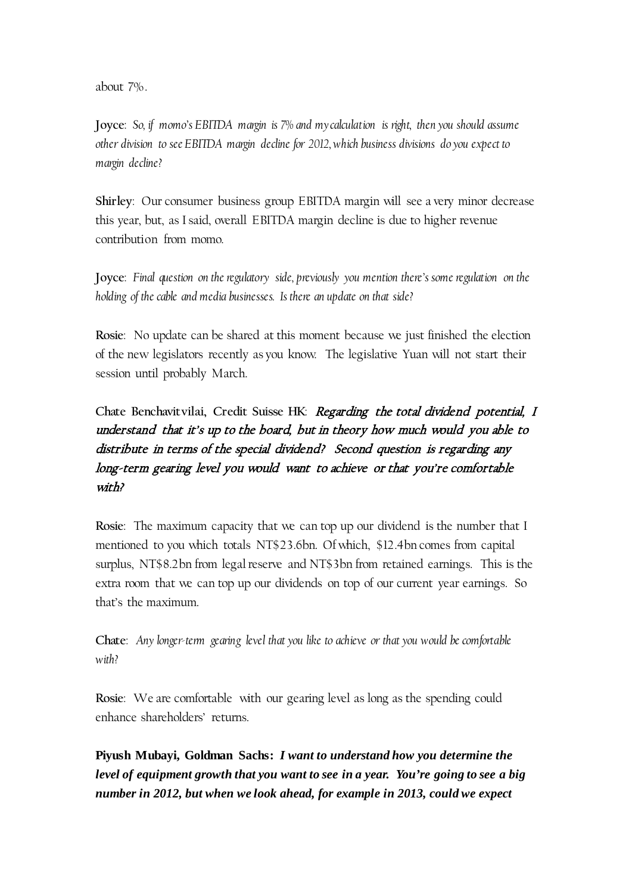about 7%.

**Joyce**: *So, if momo's EBITDA margin is 7% and my calculation is right, then you should assume other division to see EBITDA margin decline for 2012, which business divisions do you expect to margin decline?*

**Shirley**: Our consumer business group EBITDA margin will see a very minor decrease this year, but, as I said, overall EBITDA margin decline is due to higher revenue contribution from momo.

**Joyce**: *Final question on the regulatory side, previously you mention there's some regulation on the holding of the cable and media businesses. Is there an update on that side?*

**Rosie**: No update can be shared at this moment because we just finished the election of the new legislators recently as you know. The legislative Yuan will not start their session until probably March.

**Chate Benchavitvilai, Credit Suisse HK**: Regarding the total dividend potential, I understand that it's up to the board, but in theory how much would you able to distribute in terms of the special dividend? Second question is regarding any long-term gearing level you would want to achieve or that you're comfortable with?

**Rosie**: The maximum capacity that we can top up our dividend is the number that I mentioned to you which totals NT\$23.6bn. Of which, \$12.4bn comes from capital surplus, NT\$8.2bn from legal reserve and NT\$3bn from retained earnings. This is the extra room that we can top up our dividends on top of our current year earnings. So that's the maximum.

**Chate**: *Any longer-term gearing level that you like to achieve or that you would be comfortable with?*

**Rosie**: We are comfortable with our gearing level as long as the spending could enhance shareholders' returns.

**Piyush Mubayi, Goldman Sachs:** *I want to understand how you determine the level of equipment growth that you want to see in a year. You're going to see a big number in 2012, but when we look ahead, for example in 2013, could we expect*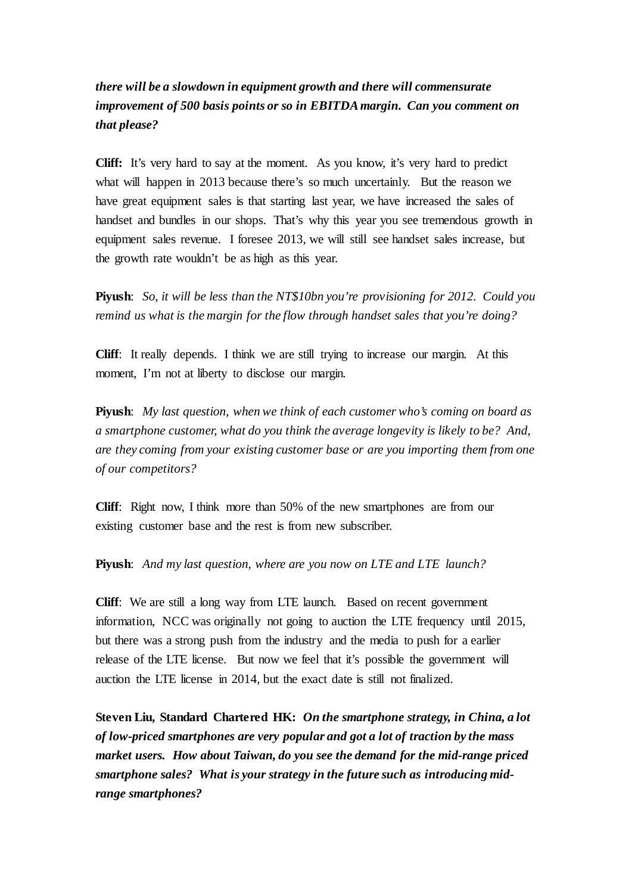# *there will be a slowdown in equipment growth and there will commensurate improvement of 500 basis points or so in EBITDA margin. Can you comment on that please?*

**Cliff:** It's very hard to say at the moment. As you know, it's very hard to predict what will happen in 2013 because there's so much uncertainly. But the reason we have great equipment sales is that starting last year, we have increased the sales of handset and bundles in our shops. That's why this year you see tremendous growth in equipment sales revenue. I foresee 2013, we will still see handset sales increase, but the growth rate wouldn't be as high as this year.

**Piyush**: *So, it will be less than the NT\$10bn you're provisioning for 2012. Could you remind us what is the margin for the flow through handset sales that you're doing?*

**Cliff**: It really depends. I think we are still trying to increase our margin. At this moment, I'm not at liberty to disclose our margin.

**Piyush**: *My last question, when we think of each customer who's coming on board as a smartphone customer, what do you think the average longevity is likely to be? And, are they coming from your existing customer base or are you importing them from one of our competitors?*

**Cliff**: Right now, I think more than 50% of the new smartphones are from our existing customer base and the rest is from new subscriber.

**Piyush**: *And my last question, where are you now on LTE and LTE launch?*

**Cliff**: We are still a long way from LTE launch. Based on recent government information, NCC was originally not going to auction the LTE frequency until 2015, but there was a strong push from the industry and the media to push for a earlier release of the LTE license. But now we feel that it's possible the government will auction the LTE license in 2014, but the exact date is still not finalized.

**Steven Liu, Standard Chartered HK:** *On the smartphone strategy, in China, a lot of low-priced smartphones are very popular and got a lot of traction by the mass market users. How about Taiwan, do you see the demand for the mid-range priced smartphone sales? What is your strategy in the future such as introducing midrange smartphones?*